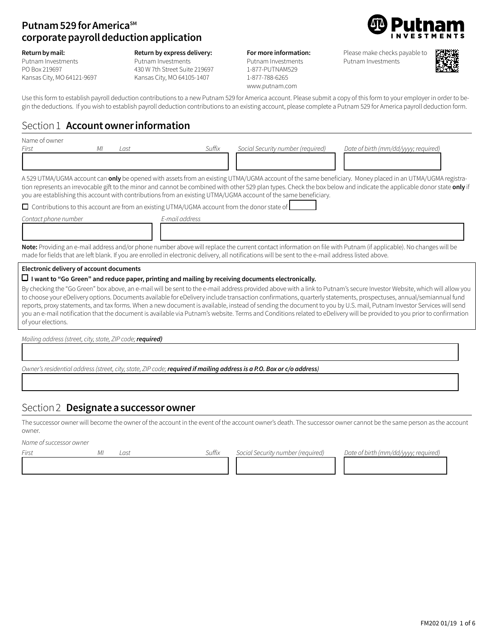### **Putnam 529 for America**SM **corporate payroll deduction application**

**Return by mail:**

Putnam Investments PO Box 219697

### **Return by express delivery:**

**For more information:** 

Please make checks payable to Putnam Investments



Kansas City, MO 64121-9697

Putnam Investments 430 W 7th Street Suite 219697 Kansas City, MO 64105-1407

## Putnam Investments

1-877-PUTNAM529 1-877-788-6265 www.putnam.com



Use this form to establish payroll deduction contributions to a new Putnam 529 for America account. Please submit a copy of this form to your employer in order to begin the deductions. If you wish to establish payroll deduction contributions to an existing account, please complete a Putnam 529 for America payroll deduction form.

## Section 1 **Account owner information**

| Name of owner                            |    |      |                                                                                                     |                                                                                                                                                     |                                                                                                                                                                         |
|------------------------------------------|----|------|-----------------------------------------------------------------------------------------------------|-----------------------------------------------------------------------------------------------------------------------------------------------------|-------------------------------------------------------------------------------------------------------------------------------------------------------------------------|
| First                                    | МI | Last | Suffix                                                                                              | Social Security number (required)                                                                                                                   | Date of birth (mm/dd/yyyy; required)                                                                                                                                    |
|                                          |    |      |                                                                                                     |                                                                                                                                                     |                                                                                                                                                                         |
|                                          |    |      |                                                                                                     |                                                                                                                                                     |                                                                                                                                                                         |
|                                          |    |      |                                                                                                     |                                                                                                                                                     | A 529 UTMA/UGMA account can <b>only</b> be opened with assets from an existing UTMA/UGMA account of the same beneficiary. Money placed in an UTMA/UGMA registra-        |
|                                          |    |      |                                                                                                     | you are establishing this account with contributions from an existing UTMA/UGMA account of the same beneficiary.                                    | tion represents an irrevocable gift to the minor and cannot be combined with other 529 plan types. Check the box below and indicate the applicable donor state only if  |
|                                          |    |      | $\Box$ Contributions to this account are from an existing UTMA/UGMA account from the donor state of |                                                                                                                                                     |                                                                                                                                                                         |
| Contact phone number                     |    |      | E-mail address                                                                                      |                                                                                                                                                     |                                                                                                                                                                         |
|                                          |    |      |                                                                                                     |                                                                                                                                                     |                                                                                                                                                                         |
|                                          |    |      |                                                                                                     | made for fields that are left blank. If you are enrolled in electronic delivery, all notifications will be sent to the e-mail address listed above. | Note: Providing an e-mail address and/or phone number above will replace the current contact information on file with Putnam (if applicable). No changes will be        |
| Electronic delivery of account documents |    |      |                                                                                                     |                                                                                                                                                     |                                                                                                                                                                         |
|                                          |    |      |                                                                                                     | $\Box$ I want to "Go Green" and reduce paper, printing and mailing by receiving documents electronically.                                           |                                                                                                                                                                         |
|                                          |    |      |                                                                                                     |                                                                                                                                                     | By checking the "Go Green" box above, an e-mail will be sent to the e-mail address provided above with a link to Putnam's secure Investor Website, which will allow you |
|                                          |    |      |                                                                                                     |                                                                                                                                                     | to choose your eDelivery options. Documents available for eDelivery include transaction confirmations, quarterly statements, prospectuses, annual/semiannual fund       |
|                                          |    |      |                                                                                                     |                                                                                                                                                     | reports, proxy statements, and tax forms. When a new document is available, instead of sending the document to you by U.S. mail, Putnam Investor Services will send     |
| of your elections.                       |    |      |                                                                                                     |                                                                                                                                                     | you an e-mail notification that the document is available via Putnam's website. Terms and Conditions related to eDelivery will be provided to you prior to confirmation |
|                                          |    |      |                                                                                                     |                                                                                                                                                     |                                                                                                                                                                         |

*Mailing address* (*street, city, state, ZIP code; required*)

*Owner'sresidential address(street, city,state, ZIP code;required if mailing address is a P.O. Box or c/o address)*

### Section 2 **Designate a successor owner**

The successor owner will become the owner of the account in the event of the account owner's death. The successor owner cannot be the same person as the account owner.

13333332323333333234 1333333334 1333333334

13333333333333333333333333333333333333334

13333333333333333333333333333333333333334

*Name ofsuccessor owner*

*First MI* Last *Suffix Social Security number (required) Date of birth (mm/dd/yyyy; required)*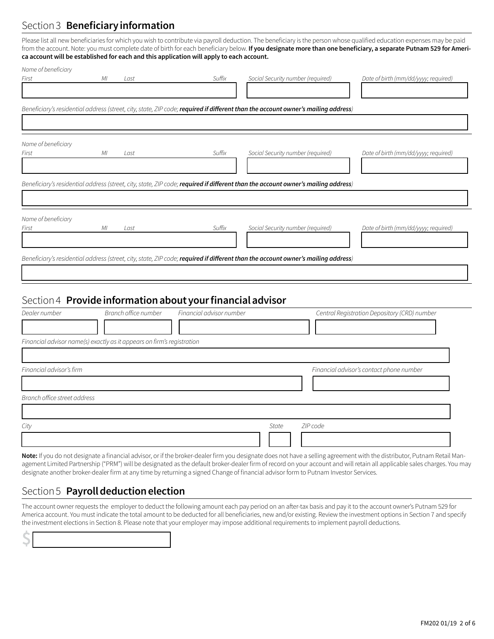## Section 3 **Beneficiary information**

Please list all new beneficiaries for which you wish to contribute via payroll deduction. The beneficiary is the person whose qualified education expenses may be paid from the account. Note: you must complete date of birth for each beneficiary below. **If you designate more than one beneficiary, a separate Putnam 529 for America account will be established for each and this application will apply to each account.**

| Name of beneficiary |    |      |        |                                                                                                                                   |                                      |
|---------------------|----|------|--------|-----------------------------------------------------------------------------------------------------------------------------------|--------------------------------------|
| First               | МI | Last | Suffix | Social Security number (required)                                                                                                 | Date of birth (mm/dd/yyyy; required) |
|                     |    |      |        |                                                                                                                                   |                                      |
|                     |    |      |        |                                                                                                                                   |                                      |
|                     |    |      |        | Beneficiary's residential address (street, city, state, ZIP code; required if different than the account owner's mailing address) |                                      |
|                     |    |      |        |                                                                                                                                   |                                      |
|                     |    |      |        |                                                                                                                                   |                                      |
| Name of beneficiary |    |      |        |                                                                                                                                   |                                      |
| First               | МI | Last | Suffix | Social Security number (required)                                                                                                 | Date of birth (mm/dd/yyyy; required) |
|                     |    |      |        |                                                                                                                                   |                                      |
|                     |    |      |        |                                                                                                                                   |                                      |
|                     |    |      |        | Beneficiary's residential address (street, city, state, ZIP code; required if different than the account owner's mailing address) |                                      |
|                     |    |      |        |                                                                                                                                   |                                      |
|                     |    |      |        |                                                                                                                                   |                                      |
| Name of beneficiary |    |      |        |                                                                                                                                   |                                      |
| First               | МI | Last | Suffix | Social Security number (required)                                                                                                 | Date of birth (mm/dd/yyyy; required) |
|                     |    |      |        |                                                                                                                                   |                                      |
|                     |    |      |        |                                                                                                                                   |                                      |
|                     |    |      |        | Beneficiary's residential address (street, city, state, ZIP code; required if different than the account owner's mailing address) |                                      |
|                     |    |      |        |                                                                                                                                   |                                      |
|                     |    |      |        |                                                                                                                                   |                                      |
|                     |    |      |        |                                                                                                                                   |                                      |

## Section 4 **Provide information about your financial advisor**

| Dealer number                | Branch office number                                                   | Financial advisor number |       | Central Registration Depository (CRD) number |
|------------------------------|------------------------------------------------------------------------|--------------------------|-------|----------------------------------------------|
|                              |                                                                        |                          |       |                                              |
|                              | Financial advisor name(s) exactly as it appears on firm's registration |                          |       |                                              |
|                              |                                                                        |                          |       |                                              |
| Financial advisor's firm     |                                                                        |                          |       | Financial advisor's contact phone number     |
|                              |                                                                        |                          |       |                                              |
| Branch office street address |                                                                        |                          |       |                                              |
|                              |                                                                        |                          |       |                                              |
| City                         |                                                                        |                          | State | ZIP code                                     |
|                              |                                                                        |                          |       |                                              |

**Note:** If you do not designate a financial advisor, or if the broker-dealer firm you designate does not have a selling agreement with the distributor, Putnam Retail Management Limited Partnership ("PRM") will be designated as the default broker-dealer firm of record on your account and will retain all applicable sales charges. You may designate another broker-dealer firm at any time by returning a signed Change of financial advisor form to Putnam Investor Services.

## Section 5 **Payroll deduction election**

**\$**1333333333334

The account owner requests the employer to deduct the following amount each pay period on an after-tax basis and pay it to the account owner's Putnam 529 for America account. You must indicate the total amount to be deducted for all beneficiaries, new and/or existing. Review the investment options in Section 7 and specify the investment elections in Section 8. Please note that your employer may impose additional requirements to implement payroll deductions.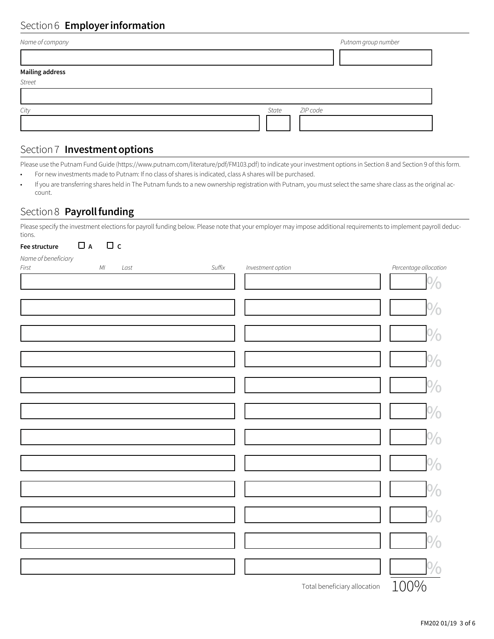# Section 6 **Employer information**

|       | Putnam group number |
|-------|---------------------|
|       |                     |
|       |                     |
|       |                     |
|       |                     |
| State |                     |
|       |                     |
|       | ZIP code            |

## Section 7 **Investment options**

Please use the Putnam Fund Guide (https://www.putnam.com/literature/pdf/FM103.pdf) to indicate your investment options in Section 8 and Section 9 of this form.

- For new investments made to Putnam: If no class of shares is indicated, class A shares will be purchased.
- If you are transferring shares held in The Putnam funds to a new ownership registration with Putnam, you must select the same share class as the original account.

### Section 8 **Payroll funding**

Please specify the investment elections for payroll funding below. Please note that your employer may impose additional requirements to implement payroll deductions.

| $\Box$<br>A<br>Fee structure   | $\Box$ c |      |        |                   |                              |                       |
|--------------------------------|----------|------|--------|-------------------|------------------------------|-----------------------|
| Name of beneficiary<br>$First$ | $M\!I$   | Last | Suffix | Investment option |                              | Percentage allocation |
|                                |          |      |        |                   |                              | $\%$                  |
|                                |          |      |        |                   |                              |                       |
|                                |          |      |        |                   |                              | $\frac{0}{0}$         |
|                                |          |      |        |                   |                              | $\%$                  |
|                                |          |      |        |                   |                              | $\frac{0}{0}$         |
|                                |          |      |        |                   |                              |                       |
|                                |          |      |        |                   |                              | $\frac{0}{0}$         |
|                                |          |      |        |                   |                              | $\%$                  |
|                                |          |      |        |                   |                              | 0/2                   |
|                                |          |      |        |                   |                              | $\frac{0}{0}$         |
|                                |          |      |        |                   |                              |                       |
|                                |          |      |        |                   |                              | $\frac{0}{0}$         |
|                                |          |      |        |                   |                              | $\frac{1}{2}$         |
|                                |          |      |        |                   |                              | $\frac{0}{0}$         |
|                                |          |      |        |                   |                              | $\frac{0}{0}$         |
|                                |          |      |        |                   | Total beneficiary allocation | 100%                  |

FM202 01/19 3 of 6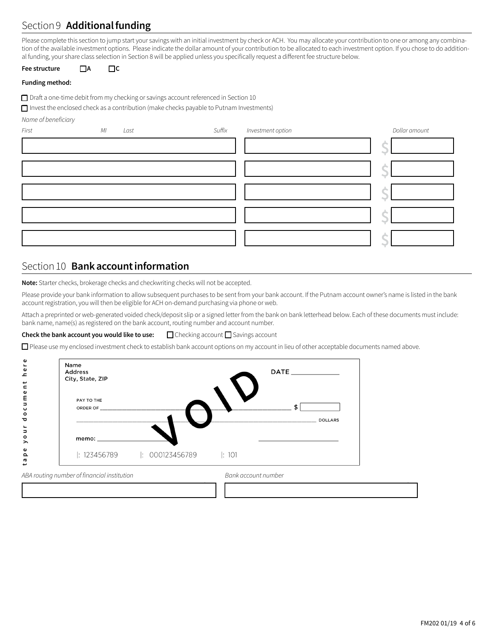## Section 9 **Additional funding**

Please complete this section to jump start your savings with an initial investment by check or ACH. You may allocate your contribution to one or among any combination of the available investment options. Please indicate the dollar amount of your contribution to be allocated to each investment option. If you chose to do additional funding, your share class selection in Section 8 will be applied unless you specifically request a different fee structure below.

**Fee structure** o**A** o**C**

#### **Funding method:**

 $\Box$  Draft a one-time debit from my checking or savings account referenced in Section 10

 $\Box$  Invest the enclosed check as a contribution (make checks payable to Putnam Investments)

*Name of beneficiary*

| First | МI | Last | Suffix | Investment option | Dollar amount |
|-------|----|------|--------|-------------------|---------------|
|       |    |      |        |                   |               |
|       |    |      |        |                   |               |
|       |    |      |        |                   |               |
|       |    |      |        |                   |               |
|       |    |      |        |                   |               |

## Section 10 **Bank account information**

**Note:** Starter checks, brokerage checks and checkwriting checks will not be accepted.

Please provide your bank information to allow subsequent purchases to be sent from your bank account. If the Putnam account owner's name is listed in the bank account registration, you will then be eligible for ACH on-demand purchasing via phone or web.

Attach a preprinted or web-generated voided check/deposit slip or a signed letter from the bank on bank letterhead below. Each of these documents must include: bank name, name(s) as registered on the bank account, routing number and account number.

### **Check the bank account you would like to use:** □ Checking account □ Savings account

□ Please use my enclosed investment check to establish bank account options on my account in lieu of other acceptable documents named above.

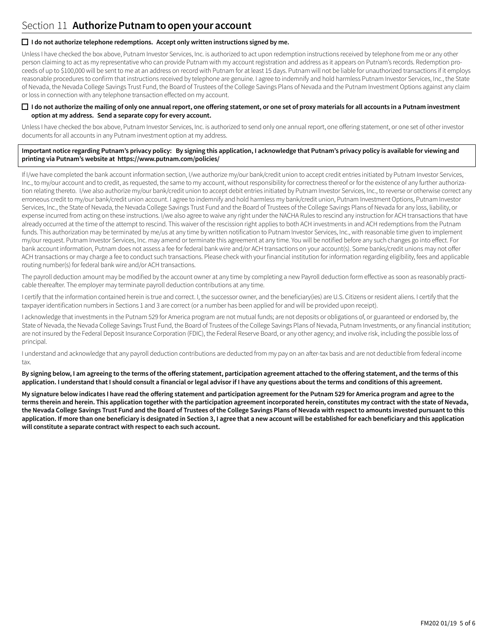### $\Box$  I do not authorize telephone redemptions. Accept only written instructions signed by me.

Unless I have checked the box above, Putnam Investor Services, Inc. is authorized to act upon redemption instructions received by telephone from me or any other person claiming to act as my representative who can provide Putnam with my account registration and address as it appears on Putnam's records. Redemption proceeds of up to \$100,000 will be sent to me at an address on record with Putnam for at least 15 days. Putnam will not be liable for unauthorized transactions if it employs reasonable procedures to confirm that instructions received by telephone are genuine. I agree to indemnify and hold harmless Putnam Investor Services, Inc., the State of Nevada, the Nevada College Savings Trust Fund, the Board of Trustees of the College Savings Plans of Nevada and the Putnam Investment Options against any claim or loss in connection with any telephone transaction effected on my account.

#### □ I do not authorize the mailing of only one annual report, one offering statement, or one set of proxy materials for all accounts in a Putnam investment **option at my address. Send a separate copy for every account.**

Unless I have checked the box above, Putnam Investor Services, Inc. is authorized to send only one annual report, one offering statement, or one set of other investor documents for all accounts in any Putnam investment option at my address.

#### **Important notice regarding Putnam's privacy policy: By signing this application, I acknowledge that Putnam's privacy policy is available for viewing and printing via Putnam's website at https://www.putnam.com/policies/**

If I/we have completed the bank account information section, I/we authorize my/our bank/credit union to accept credit entries initiated by Putnam Investor Services, Inc., to my/our account and to credit, as requested, the same to my account, without responsibility for correctness thereof or for the existence of any further authorization relating thereto. I/we also authorize my/our bank/credit union to accept debit entries initiated by Putnam Investor Services, Inc., to reverse or otherwise correct any erroneous credit to my/our bank/credit union account. I agree to indemnify and hold harmless my bank/credit union, Putnam Investment Options, Putnam Investor Services, Inc., the State of Nevada, the Nevada College Savings Trust Fund and the Board of Trustees of the College Savings Plans of Nevada for any loss, liability, or expense incurred from acting on these instructions. I/we also agree to waive any right under the NACHA Rules to rescind any instruction for ACH transactions that have already occurred at the time of the attempt to rescind. This waiver of the rescission right applies to both ACH investments in and ACH redemptions from the Putnam funds. This authorization may be terminated by me/us at any time by written notification to Putnam Investor Services, Inc., with reasonable time given to implement my/our request. Putnam Investor Services, Inc. may amend or terminate this agreement at any time. You will be notified before any such changes go into effect. For bank account information, Putnam does not assess a fee for federal bank wire and/or ACH transactions on your account(s). Some banks/credit unions may not offer ACH transactions or may charge a fee to conduct such transactions. Please check with your financial institution for information regarding eligibility, fees and applicable routing number(s) for federal bank wire and/or ACH transactions.

The payroll deduction amount may be modified by the account owner at any time by completing a new Payroll deduction form effective as soon as reasonably practicable thereafter. The employer may terminate payroll deduction contributions at any time.

I certify that the information contained herein is true and correct. I, the successor owner, and the beneficiary(ies) are U.S. Citizens or resident aliens. I certify that the taxpayer identification numbers in Sections 1 and 3 are correct (or a number has been applied for and will be provided upon receipt).

I acknowledge that investments in the Putnam 529 for America program are not mutual funds; are not deposits or obligations of, or guaranteed or endorsed by, the State of Nevada, the Nevada College Savings Trust Fund, the Board of Trustees of the College Savings Plans of Nevada, Putnam Investments, or any financial institution; are not insured by the Federal Deposit Insurance Corporation (FDIC), the Federal Reserve Board, or any other agency; and involve risk, including the possible loss of principal.

I understand and acknowledge that any payroll deduction contributions are deducted from my pay on an after-tax basis and are not deductible from federal income tax.

**By signing below, I am agreeing to the terms of the offering statement, participation agreement attached to the offering statement, and the terms of this application. I understand that I should consult a financial or legal advisor if I have any questions about the terms and conditions of this agreement.**

**My signature below indicates I have read the offering statement and participation agreement for the Putnam 529 for America program and agree to the terms therein and herein. This application together with the participation agreement incorporated herein, constitutes my contract with the state of Nevada, the Nevada College Savings Trust Fund and the Board of Trustees of the College Savings Plans of Nevada with respect to amounts invested pursuant to this application. If more than one beneficiary is designated in Section 3, I agree that a new account will be established for each beneficiary and this application will constitute a separate contract with respect to each such account.**